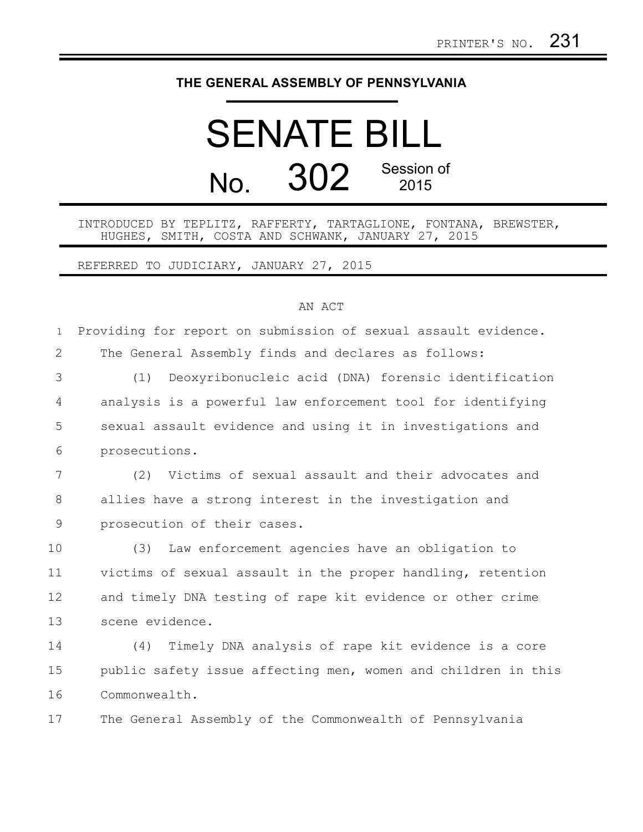## **THE GENERAL ASSEMBLY OF PENNSYLVANIA**

## SENATE BILL No. 302 Session of 2015

## INTRODUCED BY TEPLITZ, RAFFERTY, TARTAGLIONE, FONTANA, BREWSTER, HUGHES, SMITH, COSTA AND SCHWANK, JANUARY 27, 2015

REFERRED TO JUDICIARY, JANUARY 27, 2015

## AN ACT

| $\mathbf{1}$   | Providing for report on submission of sexual assault evidence. |
|----------------|----------------------------------------------------------------|
| $\overline{2}$ | The General Assembly finds and declares as follows:            |
| 3              | Deoxyribonucleic acid (DNA) forensic identification<br>(1)     |
| $\overline{4}$ | analysis is a powerful law enforcement tool for identifying    |
| 5              | sexual assault evidence and using it in investigations and     |
| 6              | prosecutions.                                                  |
| $7\phantom{.}$ | (2) Victims of sexual assault and their advocates and          |
| 8              | allies have a strong interest in the investigation and         |
| 9              | prosecution of their cases.                                    |
| 10             | Law enforcement agencies have an obligation to<br>(3)          |
| 11             | victims of sexual assault in the proper handling, retention    |
| 12             | and timely DNA testing of rape kit evidence or other crime     |
| 13             | scene evidence.                                                |
| 14             | Timely DNA analysis of rape kit evidence is a core<br>(4)      |
| 15             | public safety issue affecting men, women and children in this  |
| 16             | Commonwealth.                                                  |

The General Assembly of the Commonwealth of Pennsylvania 17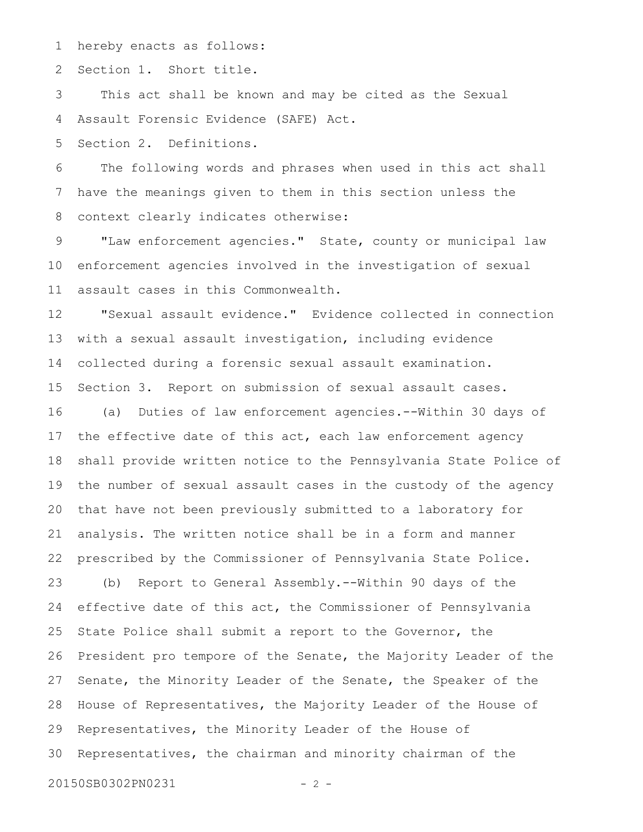hereby enacts as follows: 1

Section 1. Short title. 2

This act shall be known and may be cited as the Sexual Assault Forensic Evidence (SAFE) Act. 3 4

Section 2. Definitions. 5

The following words and phrases when used in this act shall have the meanings given to them in this section unless the context clearly indicates otherwise: 6 7 8

"Law enforcement agencies." State, county or municipal law enforcement agencies involved in the investigation of sexual assault cases in this Commonwealth. 9 10 11

"Sexual assault evidence." Evidence collected in connection with a sexual assault investigation, including evidence collected during a forensic sexual assault examination. Section 3. Report on submission of sexual assault cases. 12 13 14 15

(a) Duties of law enforcement agencies.--Within 30 days of the effective date of this act, each law enforcement agency shall provide written notice to the Pennsylvania State Police of the number of sexual assault cases in the custody of the agency that have not been previously submitted to a laboratory for analysis. The written notice shall be in a form and manner prescribed by the Commissioner of Pennsylvania State Police. 16 17 18 19 20 21 22

(b) Report to General Assembly.--Within 90 days of the effective date of this act, the Commissioner of Pennsylvania State Police shall submit a report to the Governor, the President pro tempore of the Senate, the Majority Leader of the Senate, the Minority Leader of the Senate, the Speaker of the House of Representatives, the Majority Leader of the House of Representatives, the Minority Leader of the House of Representatives, the chairman and minority chairman of the 23 24 25 26 27 28 29 30

20150SB0302PN0231 - 2 -